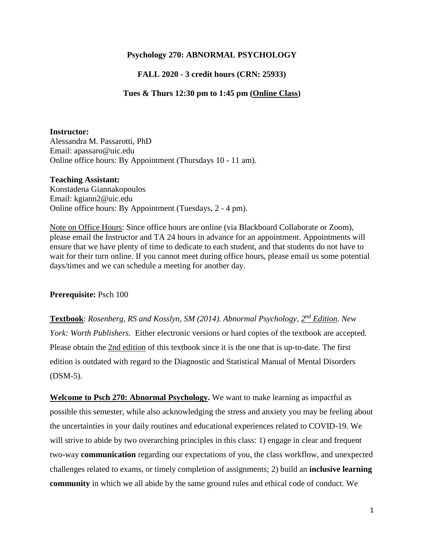## **Psychology 270: ABNORMAL PSYCHOLOGY**

## **FALL 2020 - 3 credit hours (CRN: 25933)**

## **Tues & Thurs 12:30 pm to 1:45 pm (Online Class)**

#### **Instructor:**

Alessandra M. Passarotti, PhD Email: apassaro@uic.edu Online office hours: By Appointment (Thursdays 10 - 11 am).

#### **Teaching Assistant:**

Konstadena Giannakopoulos Email: kgiann2@uic.edu Online office hours: By Appointment (Tuesdays, 2 - 4 pm).

Note on Office Hours: Since office hours are online (via Blackboard Collaborate or Zoom), please email the Instructor and TA 24 hours in advance for an appointment. Appointments will ensure that we have plenty of time to dedicate to each student, and that students do not have to wait for their turn online. If you cannot meet during office hours, please email us some potential days/times and we can schedule a meeting for another day.

#### **Prerequisite:** Psch 100

Textbook: *Rosenberg, RS and Kosslyn, SM (2014). Abnormal Psychology,*  $2^{nd}$  *Edition. New York: Worth Publishers.* Either electronic versions or hard copies of the textbook are accepted. Please obtain the 2nd edition of this textbook since it is the one that is up-to-date. The first edition is outdated with regard to the Diagnostic and Statistical Manual of Mental Disorders (DSM-5).

**Welcome to Psch 270: Abnormal Psychology.** We want to make learning as impactful as possible this semester, while also acknowledging the stress and anxiety you may be feeling about the uncertainties in your daily routines and educational experiences related to COVID-19. We will strive to abide by two overarching principles in this class: 1) engage in clear and frequent two-way **communication** regarding our expectations of you, the class workflow, and unexpected challenges related to exams, or timely completion of assignments; 2) build an **inclusive learning community** in which we all abide by the same ground rules and ethical code of conduct. We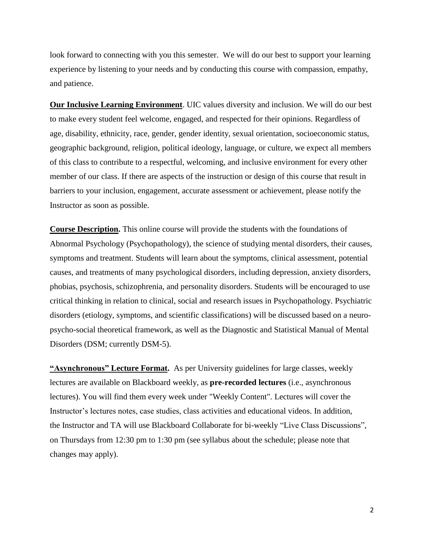look forward to connecting with you this semester. We will do our best to support your learning experience by listening to your needs and by conducting this course with compassion, empathy, and patience.

**Our Inclusive Learning Environment**. UIC values diversity and inclusion. We will do our best to make every student feel welcome, engaged, and respected for their opinions. Regardless of age, disability, ethnicity, race, gender, gender identity, sexual orientation, socioeconomic status, geographic background, religion, political ideology, language, or culture, we expect all members of this class to contribute to a respectful, welcoming, and inclusive environment for every other member of our class. If there are aspects of the instruction or design of this course that result in barriers to your inclusion, engagement, accurate assessment or achievement, please notify the Instructor as soon as possible.

**Course Description.** This online course will provide the students with the foundations of Abnormal Psychology (Psychopathology), the science of studying mental disorders, their causes, symptoms and treatment. Students will learn about the symptoms, clinical assessment, potential causes, and treatments of many psychological disorders, including depression, anxiety disorders, phobias, psychosis, schizophrenia, and personality disorders. Students will be encouraged to use critical thinking in relation to clinical, social and research issues in Psychopathology. Psychiatric disorders (etiology, symptoms, and scientific classifications) will be discussed based on a neuropsycho-social theoretical framework, as well as the Diagnostic and Statistical Manual of Mental Disorders (DSM; currently DSM-5).

**"Asynchronous" Lecture Format.** As per University guidelines for large classes, weekly lectures are available on Blackboard weekly, as **pre-recorded lectures** (i.e., asynchronous lectures). You will find them every week under "Weekly Content". Lectures will cover the Instructor's lectures notes, case studies, class activities and educational videos. In addition, the Instructor and TA will use Blackboard Collaborate for bi-weekly "Live Class Discussions", on Thursdays from 12:30 pm to 1:30 pm (see syllabus about the schedule; please note that changes may apply).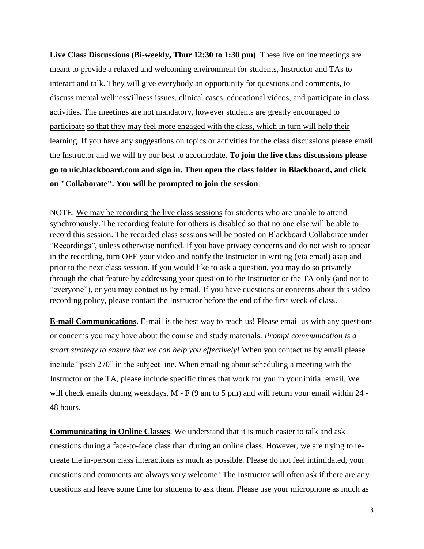**Live Class Discussions (Bi-weekly, Thur 12:30 to 1:30 pm)**. These live online meetings are meant to provide a relaxed and welcoming environment for students, Instructor and TAs to interact and talk. They will give everybody an opportunity for questions and comments, to discuss mental wellness/illness issues, clinical cases, educational videos, and participate in class activities. The meetings are not mandatory, however students are greatly encouraged to participate so that they may feel more engaged with the class, which in turn will help their learning. If you have any suggestions on topics or activities for the class discussions please email the Instructor and we will try our best to accomodate. **To join the live class discussions please go to uic.blackboard.com and sign in. Then open the class folder in Blackboard, and click on "Collaborate". You will be prompted to join the session**.

NOTE: We may be recording the live class sessions for students who are unable to attend synchronously. The recording feature for others is disabled so that no one else will be able to record this session. The recorded class sessions will be posted on Blackboard Collaborate under "Recordings", unless otherwise notified. If you have privacy concerns and do not wish to appear in the recording, turn OFF your video and notify the Instructor in writing (via email) asap and prior to the next class session. If you would like to ask a question, you may do so privately through the chat feature by addressing your question to the Instructor or the TA only (and not to "everyone"), or you may contact us by email. If you have questions or concerns about this video recording policy, please contact the Instructor before the end of the first week of class.

**E-mail Communications.** E-mail is the best way to reach us! Please email us with any questions or concerns you may have about the course and study materials. *Prompt communication is a smart strategy to ensure that we can help you effectively*! When you contact us by email please include "psch 270" in the subject line. When emailing about scheduling a meeting with the Instructor or the TA, please include specific times that work for you in your initial email. We will check emails during weekdays, M - F (9 am to 5 pm) and will return your email within 24 -48 hours.

**Communicating in Online Classes**. We understand that it is much easier to talk and ask questions during a face-to-face class than during an online class. However, we are trying to recreate the in-person class interactions as much as possible. Please do not feel intimidated, your questions and comments are always very welcome! The Instructor will often ask if there are any questions and leave some time for students to ask them. Please use your microphone as much as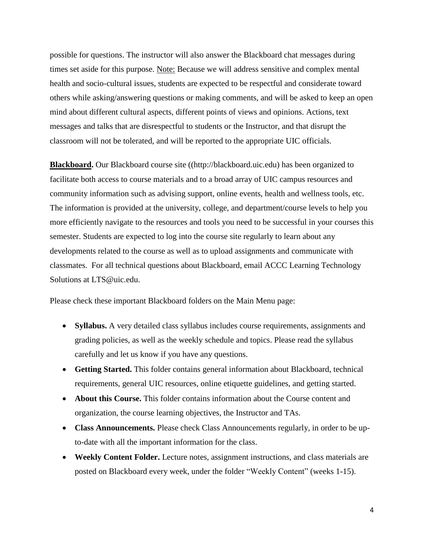possible for questions. The instructor will also answer the Blackboard chat messages during times set aside for this purpose. Note: Because we will address sensitive and complex mental health and socio-cultural issues, students are expected to be respectful and considerate toward others while asking/answering questions or making comments, and will be asked to keep an open mind about different cultural aspects, different points of views and opinions. Actions, text messages and talks that are disrespectful to students or the Instructor, and that disrupt the classroom will not be tolerated, and will be reported to the appropriate UIC officials.

**Blackboard.** Our Blackboard course site ([\(http://blackboard.uic.edu\)](http://blackboard.uic.edu/) has been organized to facilitate both access to course materials and to a broad array of UIC campus resources and community information such as advising support, online events, health and wellness tools, etc. The information is provided at the university, college, and department/course levels to help you more efficiently navigate to the resources and tools you need to be successful in your courses this semester. Students are expected to log into the course site regularly to learn about any developments related to the course as well as to upload assignments and communicate with classmates. For all technical questions about Blackboard, email ACCC Learning Technology Solutions at [LTS@uic.edu.](mailto:LTS@uic.edu)

Please check these important Blackboard folders on the Main Menu page:

- **Syllabus.** A very detailed class syllabus includes course requirements, assignments and grading policies, as well as the weekly schedule and topics. Please read the syllabus carefully and let us know if you have any questions.
- **Getting Started.** This folder contains general information about Blackboard, technical requirements, general UIC resources, online etiquette guidelines, and getting started.
- **About this Course.** This folder contains information about the Course content and organization, the course learning objectives, the Instructor and TAs.
- **Class Announcements.** Please check Class Announcements regularly, in order to be upto-date with all the important information for the class.
- **Weekly Content Folder.** Lecture notes, assignment instructions, and class materials are posted on Blackboard every week, under the folder "Weekly Content" (weeks 1-15).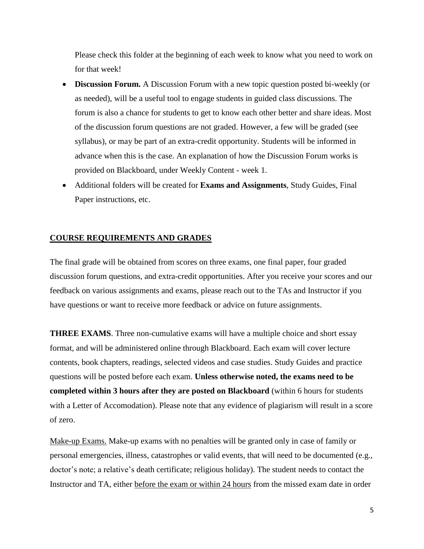Please check this folder at the beginning of each week to know what you need to work on for that week!

- **Discussion Forum.** A Discussion Forum with a new topic question posted bi-weekly (or as needed), will be a useful tool to engage students in guided class discussions. The forum is also a chance for students to get to know each other better and share ideas. Most of the discussion forum questions are not graded. However, a few will be graded (see syllabus), or may be part of an extra-credit opportunity. Students will be informed in advance when this is the case. An explanation of how the Discussion Forum works is provided on Blackboard, under Weekly Content - week 1.
- Additional folders will be created for **Exams and Assignments**, Study Guides, Final Paper instructions, etc.

## **COURSE REQUIREMENTS AND GRADES**

The final grade will be obtained from scores on three exams, one final paper, four graded discussion forum questions, and extra-credit opportunities. After you receive your scores and our feedback on various assignments and exams, please reach out to the TAs and Instructor if you have questions or want to receive more feedback or advice on future assignments.

**THREE EXAMS**. Three non-cumulative exams will have a multiple choice and short essay format, and will be administered online through Blackboard. Each exam will cover lecture contents, book chapters, readings, selected videos and case studies. Study Guides and practice questions will be posted before each exam. **Unless otherwise noted, the exams need to be completed within 3 hours after they are posted on Blackboard** (within 6 hours for students with a Letter of Accomodation). Please note that any evidence of plagiarism will result in a score of zero.

Make-up Exams. Make-up exams with no penalties will be granted only in case of family or personal emergencies, illness, catastrophes or valid events, that will need to be documented (e.g., doctor's note; a relative's death certificate; religious holiday). The student needs to contact the Instructor and TA, either before the exam or within 24 hours from the missed exam date in order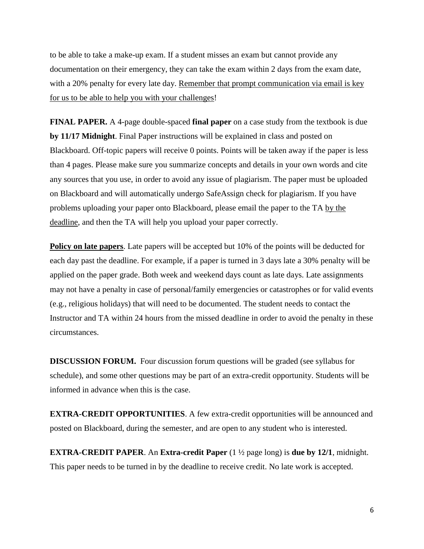to be able to take a make-up exam. If a student misses an exam but cannot provide any documentation on their emergency, they can take the exam within 2 days from the exam date, with a 20% penalty for every late day. Remember that prompt communication via email is key for us to be able to help you with your challenges!

**FINAL PAPER.** A 4-page double-spaced **final paper** on a case study from the textbook is due **by 11/17 Midnight**. Final Paper instructions will be explained in class and posted on Blackboard. Off-topic papers will receive 0 points. Points will be taken away if the paper is less than 4 pages. Please make sure you summarize concepts and details in your own words and cite any sources that you use, in order to avoid any issue of plagiarism. The paper must be uploaded on Blackboard and will automatically undergo SafeAssign check for plagiarism. If you have problems uploading your paper onto Blackboard, please email the paper to the TA by the deadline, and then the TA will help you upload your paper correctly.

**Policy on late papers**. Late papers will be accepted but 10% of the points will be deducted for each day past the deadline. For example, if a paper is turned in 3 days late a 30% penalty will be applied on the paper grade. Both week and weekend days count as late days. Late assignments may not have a penalty in case of personal/family emergencies or catastrophes or for valid events (e.g., religious holidays) that will need to be documented. The student needs to contact the Instructor and TA within 24 hours from the missed deadline in order to avoid the penalty in these circumstances.

**DISCUSSION FORUM.** Four discussion forum questions will be graded (see syllabus for schedule), and some other questions may be part of an extra-credit opportunity. Students will be informed in advance when this is the case.

**EXTRA-CREDIT OPPORTUNITIES**. A few extra-credit opportunities will be announced and posted on Blackboard, during the semester, and are open to any student who is interested.

**EXTRA-CREDIT PAPER**. An **Extra-credit Paper** (1 ½ page long) is **due by 12/1**, midnight. This paper needs to be turned in by the deadline to receive credit. No late work is accepted.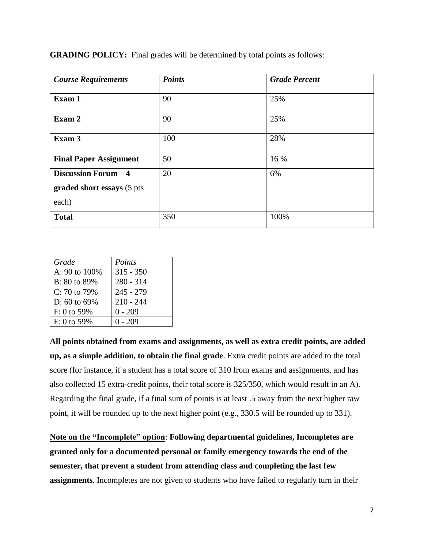| <b>Course Requirements</b>                                  | <b>Points</b> | <b>Grade Percent</b> |
|-------------------------------------------------------------|---------------|----------------------|
| Exam 1                                                      | 90            | 25%                  |
| Exam 2                                                      | 90            | 25%                  |
| Exam 3                                                      | 100           | 28%                  |
| <b>Final Paper Assignment</b>                               | 50            | 16 %                 |
| Discussion Forum - 4<br>graded short essays (5 pts<br>each) | 20            | 6%                   |
| <b>Total</b>                                                | 350           | 100%                 |

**GRADING POLICY:** Final grades will be determined by total points as follows:

| Grade            | Points      |
|------------------|-------------|
| A: 90 to 100%    | $315 - 350$ |
| B: 80 to 89%     | $280 - 314$ |
| $C: 70$ to $79%$ | $245 - 279$ |
| D: 60 to 69%     | $210 - 244$ |
| $F: 0$ to 59%    | $0 - 209$   |
| $F: 0$ to 59%    | $0 - 209$   |

**All points obtained from exams and assignments, as well as extra credit points, are added up, as a simple addition, to obtain the final grade**. Extra credit points are added to the total score (for instance, if a student has a total score of 310 from exams and assignments, and has also collected 15 extra-credit points, their total score is 325/350, which would result in an A). Regarding the final grade, if a final sum of points is at least .5 away from the next higher raw point, it will be rounded up to the next higher point (e.g., 330.5 will be rounded up to 331).

**Note on the "Incomplete" option**: **Following departmental guidelines, Incompletes are granted only for a documented personal or family emergency towards the end of the semester, that prevent a student from attending class and completing the last few assignments**. Incompletes are not given to students who have failed to regularly turn in their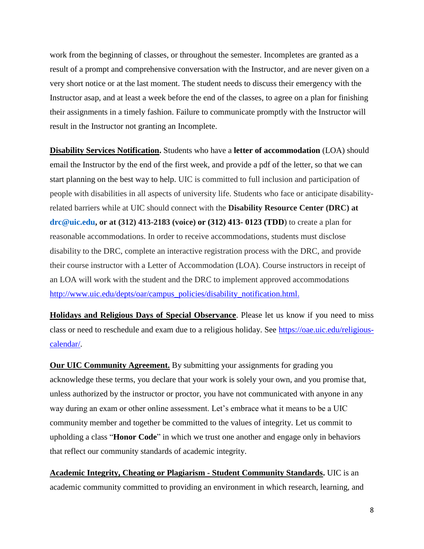work from the beginning of classes, or throughout the semester. Incompletes are granted as a result of a prompt and comprehensive conversation with the Instructor, and are never given on a very short notice or at the last moment. The student needs to discuss their emergency with the Instructor asap, and at least a week before the end of the classes, to agree on a plan for finishing their assignments in a timely fashion. Failure to communicate promptly with the Instructor will result in the Instructor not granting an Incomplete.

**Disability Services Notification.** Students who have a **letter of accommodation** (LOA) should email the Instructor by the end of the first week, and provide a pdf of the letter, so that we can start planning on the best way to help. UIC is committed to full inclusion and participation of people with disabilities in all aspects of university life. Students who face or anticipate disabilityrelated barriers while at UIC should connect with the **Disability Resource Center (DRC) at [drc@uic.edu,](mailto:drc@uic.edu) or at (312) 413-2183 (voice) or (312) 413- 0123 (TDD**) to create a plan for reasonable accommodations. In order to receive accommodations, students must disclose disability to the DRC, complete an interactive registration process with the DRC, and provide their course instructor with a Letter of Accommodation (LOA). Course instructors in receipt of an LOA will work with the student and the DRC to implement approved accommodations [http://www.uic.edu/depts/oar/campus\\_policies/disability\\_notification.html.](http://www.uic.edu/depts/oar/campus_policies/disability_notification.html)

**Holidays and Religious Days of Special Observance**. Please let us know if you need to miss class or need to reschedule and exam due to a religious holiday. See [https://oae.uic.edu/religious](https://oae.uic.edu/religious-calendar/)[calendar/.](https://oae.uic.edu/religious-calendar/)

**Our UIC Community Agreement.** By submitting your assignments for grading you acknowledge these terms, you declare that your work is solely your own, and you promise that, unless authorized by the instructor or proctor, you have not communicated with anyone in any way during an exam or other online assessment. Let's embrace what it means to be a UIC community member and together be committed to the values of integrity. Let us commit to upholding a class "**Honor Code**" in which we trust one another and engage only in behaviors that reflect our community standards of academic integrity.

**Academic Integrity, Cheating or Plagiarism - Student Community Standards.** UIC is an academic community committed to providing an environment in which research, learning, and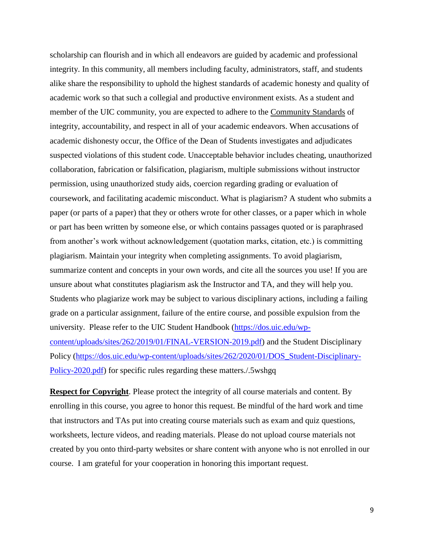scholarship can flourish and in which all endeavors are guided by academic and professional integrity. In this community, all members including faculty, administrators, staff, and students alike share the responsibility to uphold the highest standards of academic honesty and quality of academic work so that such a collegial and productive environment exists. As a student and member of the UIC community, you are expected to adhere to the [Community Standards](https://dos.uic.edu/community-standards/) of integrity, accountability, and respect in all of your academic endeavors. When [accusations of](https://dos.uic.edu/community-standards/academic-integrity/)  [academic dishonesty](https://dos.uic.edu/community-standards/academic-integrity/) occur, the Office of the Dean of Students investigates and adjudicates suspected violations of this student code. Unacceptable behavior includes cheating, unauthorized collaboration, fabrication or falsification, plagiarism, multiple submissions without instructor permission, using unauthorized study aids, coercion regarding grading or evaluation of coursework, and facilitating academic misconduct. What is plagiarism? A student who submits a paper (or parts of a paper) that they or others wrote for other classes, or a paper which in whole or part has been written by someone else, or which contains passages quoted or is paraphrased from another's work without acknowledgement (quotation marks, citation, etc.) is committing plagiarism. Maintain your integrity when completing assignments. To avoid plagiarism, summarize content and concepts in your own words, and cite all the sources you use! If you are unsure about what constitutes plagiarism ask the Instructor and TA, and they will help you. Students who plagiarize work may be subject to various disciplinary actions, including a failing grade on a particular assignment, failure of the entire course, and possible expulsion from the university. Please refer to the UIC Student Handbook [\(https://dos.uic.edu/wp](https://dos.uic.edu/wp-content/uploads/sites/262/2019/01/FINAL-VERSION-2019.pdf)[content/uploads/sites/262/2019/01/FINAL-VERSION-2019.pdf\)](https://dos.uic.edu/wp-content/uploads/sites/262/2019/01/FINAL-VERSION-2019.pdf) and the Student Disciplinary Policy [\(https://dos.uic.edu/wp-content/uploads/sites/262/2020/01/DOS\\_Student-Disciplinary-](https://dos.uic.edu/wp-content/uploads/sites/262/2020/01/DOS_Student-Disciplinary-Policy-2020.pdf)[Policy-2020.pdf\)](https://dos.uic.edu/wp-content/uploads/sites/262/2020/01/DOS_Student-Disciplinary-Policy-2020.pdf) for specific rules regarding these matters./.5wshgq

**Respect for Copyright**. Please protect the integrity of all course materials and content. By enrolling in this course, you agree to honor this request. Be mindful of the hard work and time that instructors and TAs put into creating course materials such as exam and quiz questions, worksheets, lecture videos, and reading materials. Please do not upload course materials not created by you onto third-party websites or share content with anyone who is not enrolled in our course. I am grateful for your cooperation in honoring this important request.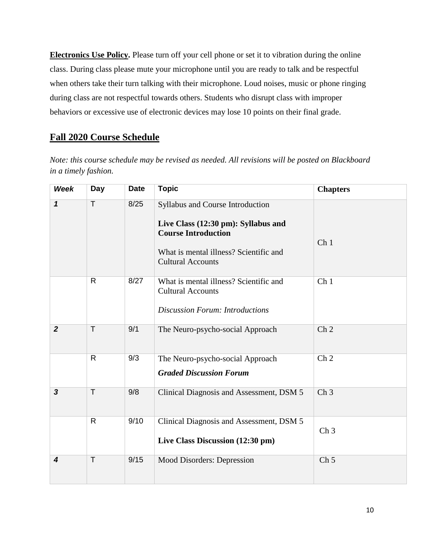**Electronics Use Policy.** Please turn off your cell phone or set it to vibration during the online class. During class please mute your microphone until you are ready to talk and be respectful when others take their turn talking with their microphone. Loud noises, music or phone ringing during class are not respectful towards others. Students who disrupt class with improper behaviors or excessive use of electronic devices may lose 10 points on their final grade.

# **Fall 2020 Course Schedule**

*Note: this course schedule may be revised as needed. All revisions will be posted on Blackboard in a timely fashion.*

| <b>Week</b>             | Day          | <b>Date</b> | <b>Topic</b>                                                                                                                                                                | <b>Chapters</b> |
|-------------------------|--------------|-------------|-----------------------------------------------------------------------------------------------------------------------------------------------------------------------------|-----------------|
| $\mathbf 1$             | T            | 8/25        | Syllabus and Course Introduction<br>Live Class (12:30 pm): Syllabus and<br><b>Course Introduction</b><br>What is mental illness? Scientific and<br><b>Cultural Accounts</b> | Ch <sub>1</sub> |
|                         | R            | 8/27        | What is mental illness? Scientific and<br><b>Cultural Accounts</b><br><b>Discussion Forum: Introductions</b>                                                                | Ch <sub>1</sub> |
| $\boldsymbol{2}$        | $\top$       | 9/1         | The Neuro-psycho-social Approach                                                                                                                                            | Ch <sub>2</sub> |
|                         | $\mathsf{R}$ | 9/3         | The Neuro-psycho-social Approach<br><b>Graded Discussion Forum</b>                                                                                                          | Ch <sub>2</sub> |
| $\mathbf{3}$            | $\mathsf{T}$ | 9/8         | Clinical Diagnosis and Assessment, DSM 5                                                                                                                                    | Ch <sub>3</sub> |
|                         | R            | 9/10        | Clinical Diagnosis and Assessment, DSM 5<br>Live Class Discussion (12:30 pm)                                                                                                | Ch <sub>3</sub> |
| $\overline{\mathbf{4}}$ | $\mathsf{T}$ | 9/15        | Mood Disorders: Depression                                                                                                                                                  | Ch <sub>5</sub> |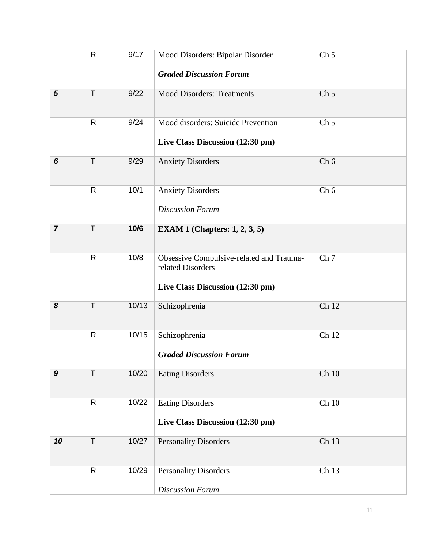|                  | $\mathsf{R}$ | 9/17  | Mood Disorders: Bipolar Disorder<br><b>Graded Discussion Forum</b>                                | Ch <sub>5</sub> |
|------------------|--------------|-------|---------------------------------------------------------------------------------------------------|-----------------|
|                  |              |       |                                                                                                   |                 |
| $\sqrt{5}$       | $\top$       | 9/22  | <b>Mood Disorders: Treatments</b>                                                                 | Ch <sub>5</sub> |
|                  | $\mathsf{R}$ | 9/24  | Mood disorders: Suicide Prevention<br>Live Class Discussion (12:30 pm)                            | Ch <sub>5</sub> |
| 6                | T            | 9/29  | <b>Anxiety Disorders</b>                                                                          | Ch <sub>6</sub> |
|                  | $\mathsf{R}$ | 10/1  | <b>Anxiety Disorders</b><br><b>Discussion Forum</b>                                               | Ch 6            |
| $\overline{7}$   | T            | 10/6  | EXAM 1 (Chapters: $1, 2, 3, 5$ )                                                                  |                 |
|                  | $\mathsf{R}$ | 10/8  | Obsessive Compulsive-related and Trauma-<br>related Disorders<br>Live Class Discussion (12:30 pm) | Ch <sub>7</sub> |
| 8                | T            | 10/13 | Schizophrenia                                                                                     | Ch 12           |
|                  | $\mathsf{R}$ | 10/15 | Schizophrenia<br><b>Graded Discussion Forum</b>                                                   | Ch 12           |
| $\boldsymbol{9}$ | $\mathsf{T}$ | 10/20 | <b>Eating Disorders</b>                                                                           | $Ch$ 10         |
|                  | $\mathsf{R}$ | 10/22 | <b>Eating Disorders</b><br>Live Class Discussion (12:30 pm)                                       | Ch 10           |
| 10               | T            | 10/27 | <b>Personality Disorders</b>                                                                      | Ch 13           |
|                  | R            | 10/29 | <b>Personality Disorders</b><br><b>Discussion Forum</b>                                           | Ch 13           |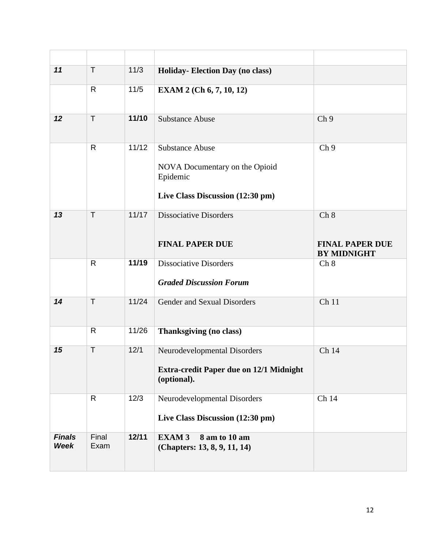| 11                           | T             | 11/3   | Holiday-Election Day (no class)                                                                          |                                                      |
|------------------------------|---------------|--------|----------------------------------------------------------------------------------------------------------|------------------------------------------------------|
|                              | $\mathsf{R}$  | $11/5$ | <b>EXAM 2 (Ch 6, 7, 10, 12)</b>                                                                          |                                                      |
| 12                           | $\mathsf{T}$  | 11/10  | <b>Substance Abuse</b>                                                                                   | Ch <sub>9</sub>                                      |
|                              | $\mathsf{R}$  | 11/12  | <b>Substance Abuse</b><br>NOVA Documentary on the Opioid<br>Epidemic<br>Live Class Discussion (12:30 pm) | Ch <sub>9</sub>                                      |
| 13                           | $\mathsf{T}$  | 11/17  | <b>Dissociative Disorders</b><br><b>FINAL PAPER DUE</b>                                                  | Ch 8<br><b>FINAL PAPER DUE</b><br><b>BY MIDNIGHT</b> |
|                              | $\mathsf{R}$  | 11/19  | <b>Dissociative Disorders</b><br><b>Graded Discussion Forum</b>                                          | Ch 8                                                 |
| 14                           | $\mathsf{T}$  | 11/24  | Gender and Sexual Disorders                                                                              | Ch 11                                                |
|                              | $\mathsf{R}$  | 11/26  | Thanksgiving (no class)                                                                                  |                                                      |
| 15                           | T             | 12/1   | Neurodevelopmental Disorders<br>Extra-credit Paper due on 12/1 Midnight<br>(optional).                   | Ch 14                                                |
|                              | $\mathsf{R}$  | 12/3   | Neurodevelopmental Disorders<br>Live Class Discussion (12:30 pm)                                         | Ch 14                                                |
| <b>Finals</b><br><b>Week</b> | Final<br>Exam | 12/11  | <b>EXAM3</b><br>8 am to 10 am<br>(Chapters: 13, 8, 9, 11, 14)                                            |                                                      |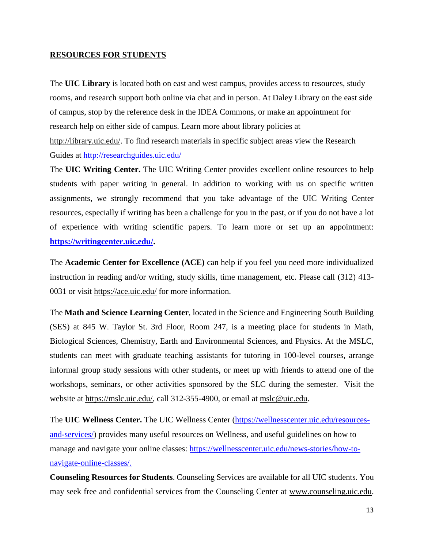## **RESOURCES FOR STUDENTS**

The **UIC Library** is located both on east and west campus, provides access to resources, study rooms, and research support both online via chat and in person. At Daley Library on the east side of campus, stop by the reference desk in the IDEA Commons, or make an appointment for research help on either side of campus. Learn more about library policies at [http://library.uic.edu/.](http://library.uic.edu/) To find research materials in specific subject areas view the Research Guides at<http://researchguides.uic.edu/>

The **UIC Writing Center.** The UIC Writing Center provides excellent online resources to help students with paper writing in general. In addition to working with us on specific written assignments, we strongly recommend that you take advantage of the UIC Writing Center resources, especially if writing has been a challenge for you in the past, or if you do not have a lot of experience with writing scientific papers. To learn more or set up an appointment: **[https://writingcenter.uic.edu/.](https://writingcenter.uic.edu/)**

The **Academic Center for Excellence (ACE)** can help if you feel you need more individualized instruction in reading and/or writing, study skills, time management, etc. Please call (312) 413- 0031 or visit<https://ace.uic.edu/> for more information.

The **Math and Science Learning Center**, located in the Science and Engineering South Building (SES) at 845 W. Taylor St. 3rd Floor, Room 247, is a meeting place for students in Math, Biological Sciences, Chemistry, Earth and Environmental Sciences, and Physics. At the MSLC, students can meet with graduate teaching assistants for tutoring in 100-level courses, arrange informal group study sessions with other students, or meet up with friends to attend one of the workshops, seminars, or other activities sponsored by the SLC during the semester. Visit the website at [https://mslc.uic.edu/,](https://mslc.uic.edu/) call 312-355-4900, or email at [mslc@uic.edu.](mailto:mslc@uic.edu)

The **UIC Wellness Center.** The UIC Wellness Center [\(https://wellnesscenter.uic.edu/resources](https://wellnesscenter.uic.edu/resources-and-services/)[and-services/\)](https://wellnesscenter.uic.edu/resources-and-services/) provides many useful resources on Wellness, and useful guidelines on how to manage and navigate your online classes: [https://wellnesscenter.uic.edu/news-stories/how-to](https://wellnesscenter.uic.edu/news-stories/how-to-navigate-online-classes/)[navigate-online-classes/.](https://wellnesscenter.uic.edu/news-stories/how-to-navigate-online-classes/)

**Counseling Resources for Students**. Counseling Services are available for all UIC students. You may seek free and confidential services from the Counseling Center at [www.counseling.uic.edu.](http://www.counseling.uic.edu/)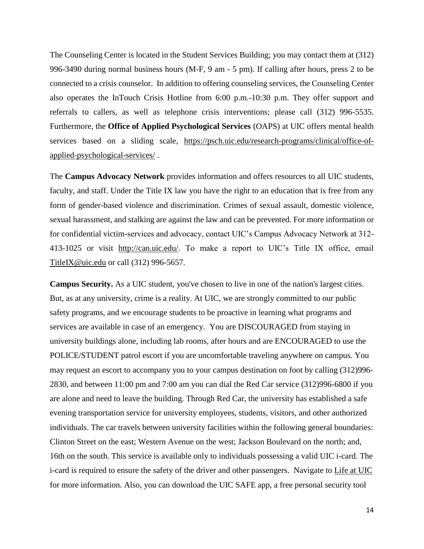The Counseling Center is located in the Student Services Building; you may contact them at (312) 996-3490 during normal business hours (M-F, 9 am - 5 pm). If calling after hours, press 2 to be connected to a crisis counselor. In addition to offering counseling services, the Counseling Center also operates the InTouch Crisis Hotline from 6:00 p.m.-10:30 p.m. They offer support and referrals to callers, as well as telephone crisis interventions; please call (312) 996-5535. Furthermore, the **Office of Applied Psychological Services** (OAPS) at UIC offers mental health services based on a sliding scale, [https://psch.uic.edu/research-programs/clinical/office-of](https://psch.uic.edu/research-programs/clinical/office-of-applied-psychological-services/)[applied-psychological-services/](https://psch.uic.edu/research-programs/clinical/office-of-applied-psychological-services/) .

The **Campus Advocacy Network** provides information and offers resources to all UIC students, faculty, and staff. Under the Title IX law you have the right to an education that is free from any form of gender-based violence and discrimination. Crimes of sexual assault, domestic violence, sexual harassment, and stalking are against the law and can be prevented. For more information or for confidential victim-services and advocacy, contact UIC's Campus Advocacy Network at 312- 413-1025 or visit [http://can.uic.edu/.](http://can.uic.edu/) To make a report to UIC's Title IX office, email [TitleIX@uic.edu](mailto:TitleIX@uic.edu) or call (312) 996-5657.

**Campus Security.** As a UIC student, you've chosen to live in one of the nation's largest cities. But, as at any university, crime is a reality. At UIC, we are strongly committed to our public safety programs, and we encourage students to be proactive in learning what programs and services are available in case of an emergency. You are DISCOURAGED from staying in university buildings alone, including lab rooms, after hours and are ENCOURAGED to use the POLICE/STUDENT patrol escort if you are uncomfortable traveling anywhere on campus. You may request an escort to accompany you to your campus destination on foot by calling (312)996- 2830, and between 11:00 pm and 7:00 am you can dial the Red Car service (312)996-6800 if you are alone and need to leave the building. Through Red Car, the university has established a safe evening transportation service for university employees, students, visitors, and other authorized individuals. The car travels between university facilities within the following general boundaries: Clinton Street on the east; Western Avenue on the west; Jackson Boulevard on the north; and, 16th on the south. This service is available only to individuals possessing a valid UIC i-card. The i-card is required to ensure the safety of the driver and other passengers. Navigate to [Life at UIC](http://www.uic.edu/uic/studentlife/campus/safety.shtml) for more information. Also, you can download the UIC SAFE app, a free personal security tool